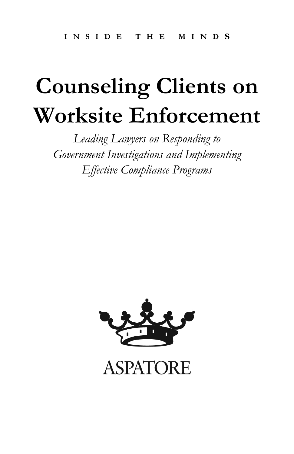# **Counseling Clients on Worksite Enforcement**

*Leading Lawyers on Responding to Government Investigations and Implementing Effective Compliance Programs* 



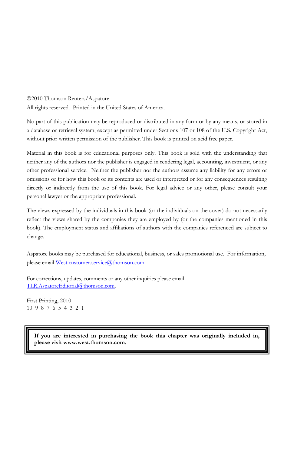©2010 Thomson Reuters/Aspatore

All rights reserved. Printed in the United States of America.

No part of this publication may be reproduced or distributed in any form or by any means, or stored in a database or retrieval system, except as permitted under Sections 107 or 108 of the U.S. Copyright Act, without prior written permission of the publisher. This book is printed on acid free paper.

Material in this book is for educational purposes only. This book is sold with the understanding that neither any of the authors nor the publisher is engaged in rendering legal, accounting, investment, or any other professional service. Neither the publisher nor the authors assume any liability for any errors or omissions or for how this book or its contents are used or interpreted or for any consequences resulting directly or indirectly from the use of this book. For legal advice or any other, please consult your personal lawyer or the appropriate professional.

The views expressed by the individuals in this book (or the individuals on the cover) do not necessarily reflect the views shared by the companies they are employed by (or the companies mentioned in this book). The employment status and affiliations of authors with the companies referenced are subject to change.

Aspatore books may be purchased for educational, business, or sales promotional use. For information, please email [West.customer.service@thomson.com.](mailto:West.customer.service@thomson.com)

For corrections, updates, comments or any other inquiries please email [TLR.AspatoreEditorial@thomson.com](mailto:TLR.AspatoreEditorial@thomson.com).

First Printing, 2010 10 9 8 7 6 5 4 3 2 1

> **If you are interested in purchasing the book this chapter was originally included in, please visit www.west.thomson.com.**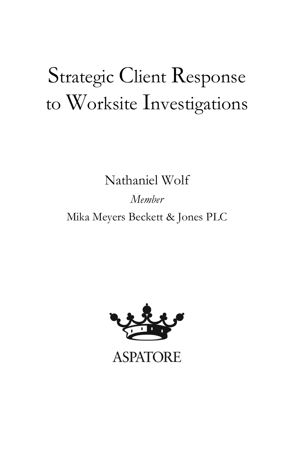## Strategic Client Response to Worksite Investigations

Nathaniel Wolf

*Member*  Mika Meyers Beckett & Jones PLC

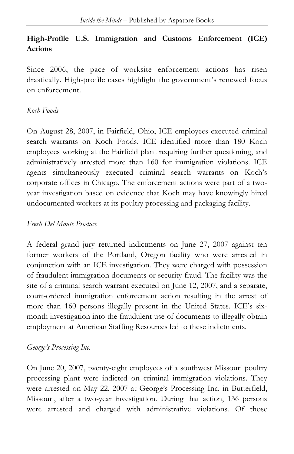#### **High-Profile U.S. Immigration and Customs Enforcement (ICE) Actions**

Since 2006, the pace of worksite enforcement actions has risen drastically. High-profile cases highlight the government's renewed focus on enforcement.

#### *Koch Foods*

On August 28, 2007, in Fairfield, Ohio, ICE employees executed criminal search warrants on Koch Foods. ICE identified more than 180 Koch employees working at the Fairfield plant requiring further questioning, and administratively arrested more than 160 for immigration violations. ICE agents simultaneously executed criminal search warrants on Koch's corporate offices in Chicago. The enforcement actions were part of a twoyear investigation based on evidence that Koch may have knowingly hired undocumented workers at its poultry processing and packaging facility.

#### *Fresh Del Monte Produce*

A federal grand jury returned indictments on June 27, 2007 against ten former workers of the Portland, Oregon facility who were arrested in conjunction with an ICE investigation. They were charged with possession of fraudulent immigration documents or security fraud. The facility was the site of a criminal search warrant executed on June 12, 2007, and a separate, court-ordered immigration enforcement action resulting in the arrest of more than 160 persons illegally present in the United States. ICE's sixmonth investigation into the fraudulent use of documents to illegally obtain employment at American Staffing Resources led to these indictments.

#### *George's Processing Inc.*

On June 20, 2007, twenty-eight employees of a southwest Missouri poultry processing plant were indicted on criminal immigration violations. They were arrested on May 22, 2007 at George's Processing Inc. in Butterfield, Missouri, after a two-year investigation. During that action, 136 persons were arrested and charged with administrative violations. Of those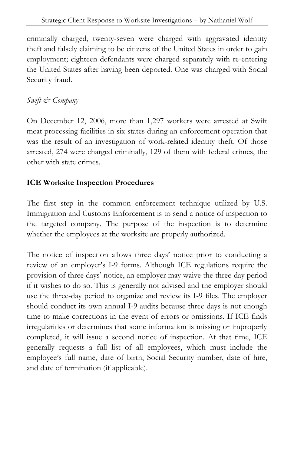criminally charged, twenty-seven were charged with aggravated identity theft and falsely claiming to be citizens of the United States in order to gain employment; eighteen defendants were charged separately with re-entering the United States after having been deported. One was charged with Social Security fraud.

#### *Swift & Company*

On December 12, 2006, more than 1,297 workers were arrested at Swift meat processing facilities in six states during an enforcement operation that was the result of an investigation of work-related identity theft. Of those arrested, 274 were charged criminally, 129 of them with federal crimes, the other with state crimes.

#### **ICE Worksite Inspection Procedures**

The first step in the common enforcement technique utilized by U.S. Immigration and Customs Enforcement is to send a notice of inspection to the targeted company. The purpose of the inspection is to determine whether the employees at the worksite are properly authorized.

The notice of inspection allows three days' notice prior to conducting a review of an employer's I-9 forms. Although ICE regulations require the provision of three days' notice, an employer may waive the three-day period if it wishes to do so. This is generally not advised and the employer should use the three-day period to organize and review its I-9 files. The employer should conduct its own annual I-9 audits because three days is not enough time to make corrections in the event of errors or omissions. If ICE finds irregularities or determines that some information is missing or improperly completed, it will issue a second notice of inspection. At that time, ICE generally requests a full list of all employees, which must include the employee's full name, date of birth, Social Security number, date of hire, and date of termination (if applicable).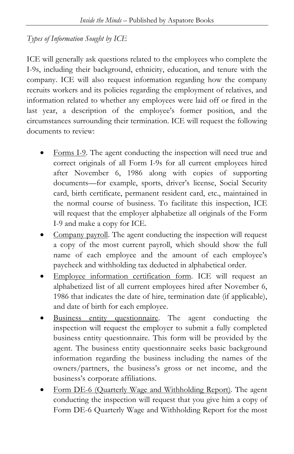#### *Types of Information Sought by ICE*

ICE will generally ask questions related to the employees who complete the I-9s, including their background, ethnicity, education, and tenure with the company. ICE will also request information regarding how the company recruits workers and its policies regarding the employment of relatives, and information related to whether any employees were laid off or fired in the last year, a description of the employee's former position, and the circumstances surrounding their termination. ICE will request the following documents to review:

- Forms I-9. The agent conducting the inspection will need true and correct originals of all Form I-9s for all current employees hired after November 6, 1986 along with copies of supporting documents—for example, sports, driver's license, Social Security card, birth certificate, permanent resident card, etc., maintained in the normal course of business. To facilitate this inspection, ICE will request that the employer alphabetize all originals of the Form I-9 and make a copy for ICE.
- Company payroll. The agent conducting the inspection will request a copy of the most current payroll, which should show the full name of each employee and the amount of each employee's paycheck and withholding tax deducted in alphabetical order.
- Employee information certification form. ICE will request an alphabetized list of all current employees hired after November 6, 1986 that indicates the date of hire, termination date (if applicable), and date of birth for each employee.
- Business entity questionnaire. The agent conducting the inspection will request the employer to submit a fully completed business entity questionnaire. This form will be provided by the agent. The business entity questionnaire seeks basic background information regarding the business including the names of the owners/partners, the business's gross or net income, and the business's corporate affiliations.
- Form DE-6 (Quarterly Wage and Withholding Report). The agent conducting the inspection will request that you give him a copy of Form DE-6 Quarterly Wage and Withholding Report for the most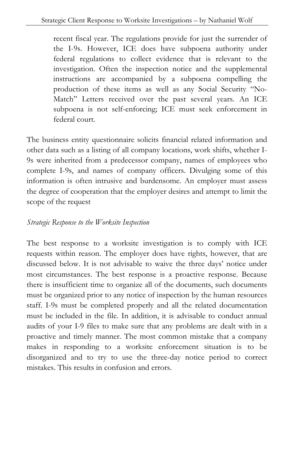recent fiscal year. The regulations provide for just the surrender of the I-9s. However, ICE does have subpoena authority under federal regulations to collect evidence that is relevant to the investigation. Often the inspection notice and the supplemental instructions are accompanied by a subpoena compelling the production of these items as well as any Social Security "No-Match" Letters received over the past several years. An ICE subpoena is not self-enforcing; ICE must seek enforcement in federal court.

The business entity questionnaire solicits financial related information and other data such as a listing of all company locations, work shifts, whether I-9s were inherited from a predecessor company, names of employees who complete I-9s, and names of company officers. Divulging some of this information is often intrusive and burdensome. An employer must assess the degree of cooperation that the employer desires and attempt to limit the scope of the request

#### *Strategic Response to the Worksite Inspection*

The best response to a worksite investigation is to comply with ICE requests within reason. The employer does have rights, however, that are discussed below. It is not advisable to waive the three days' notice under most circumstances. The best response is a proactive response. Because there is insufficient time to organize all of the documents, such documents must be organized prior to any notice of inspection by the human resources staff. I-9s must be completed properly and all the related documentation must be included in the file. In addition, it is advisable to conduct annual audits of your I-9 files to make sure that any problems are dealt with in a proactive and timely manner. The most common mistake that a company makes in responding to a worksite enforcement situation is to be disorganized and to try to use the three-day notice period to correct mistakes. This results in confusion and errors.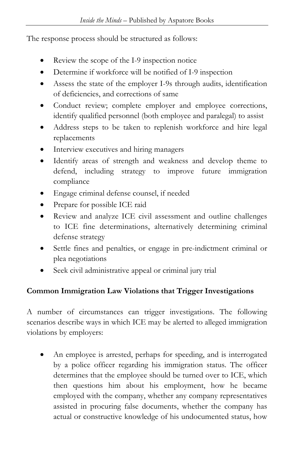The response process should be structured as follows:

- Review the scope of the I-9 inspection notice
- Determine if workforce will be notified of I-9 inspection
- Assess the state of the employer I-9s through audits, identification of deficiencies, and corrections of same
- Conduct review; complete employer and employee corrections, identify qualified personnel (both employee and paralegal) to assist
- Address steps to be taken to replenish workforce and hire legal replacements
- Interview executives and hiring managers
- Identify areas of strength and weakness and develop theme to defend, including strategy to improve future immigration compliance
- Engage criminal defense counsel, if needed
- Prepare for possible ICE raid
- Review and analyze ICE civil assessment and outline challenges to ICE fine determinations, alternatively determining criminal defense strategy
- Settle fines and penalties, or engage in pre-indictment criminal or plea negotiations
- Seek civil administrative appeal or criminal jury trial

#### **Common Immigration Law Violations that Trigger Investigations**

A number of circumstances can trigger investigations. The following scenarios describe ways in which ICE may be alerted to alleged immigration violations by employers:

• An employee is arrested, perhaps for speeding, and is interrogated by a police officer regarding his immigration status. The officer determines that the employee should be turned over to ICE, which then questions him about his employment, how he became employed with the company, whether any company representatives assisted in procuring false documents, whether the company has actual or constructive knowledge of his undocumented status, how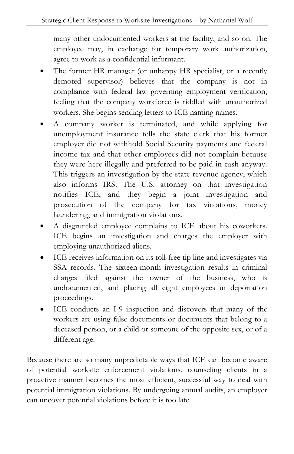many other undocumented workers at the facility, and so on. The employee may, in exchange for temporary work authorization, agree to work as a confidential informant.

- The former HR manager (or unhappy HR specialist, or a recently demoted supervisor) believes that the company is not in compliance with federal law governing employment verification, feeling that the company workforce is riddled with unauthorized workers. She begins sending letters to ICE naming names.
- A company worker is terminated, and while applying for unemployment insurance tells the state clerk that his former employer did not withhold Social Security payments and federal income tax and that other employees did not complain because they were here illegally and preferred to be paid in cash anyway. This triggers an investigation by the state revenue agency, which also informs IRS. The U.S. attorney on that investigation notifies ICE, and they begin a joint investigation and prosecution of the company for tax violations, money laundering, and immigration violations.
- A disgruntled employee complains to ICE about his coworkers. ICE begins an investigation and charges the employer with employing unauthorized aliens.
- ICE receives information on its toll-free tip line and investigates via SSA records. The sixteen-month investigation results in criminal charges filed against the owner of the business, who is undocumented, and placing all eight employees in deportation proceedings.
- ICE conducts an I-9 inspection and discovers that many of the workers are using false documents or documents that belong to a deceased person, or a child or someone of the opposite sex, or of a different age.

Because there are so many unpredictable ways that ICE can become aware of potential worksite enforcement violations, counseling clients in a proactive manner becomes the most efficient, successful way to deal with potential immigration violations. By undergoing annual audits, an employer can uncover potential violations before it is too late.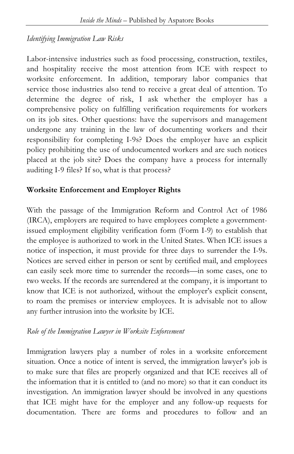#### *Identifying Immigration Law Risks*

Labor-intensive industries such as food processing, construction, textiles, and hospitality receive the most attention from ICE with respect to worksite enforcement. In addition, temporary labor companies that service those industries also tend to receive a great deal of attention. To determine the degree of risk, I ask whether the employer has a comprehensive policy on fulfilling verification requirements for workers on its job sites. Other questions: have the supervisors and management undergone any training in the law of documenting workers and their responsibility for completing I-9s? Does the employer have an explicit policy prohibiting the use of undocumented workers and are such notices placed at the job site? Does the company have a process for internally auditing I-9 files? If so, what is that process?

#### **Worksite Enforcement and Employer Rights**

With the passage of the Immigration Reform and Control Act of 1986 (IRCA), employers are required to have employees complete a governmentissued employment eligibility verification form (Form I-9) to establish that the employee is authorized to work in the United States. When ICE issues a notice of inspection, it must provide for three days to surrender the I-9s. Notices are served either in person or sent by certified mail, and employees can easily seek more time to surrender the records—in some cases, one to two weeks. If the records are surrendered at the company, it is important to know that ICE is not authorized, without the employer's explicit consent, to roam the premises or interview employees. It is advisable not to allow any further intrusion into the worksite by ICE.

#### *Role of the Immigration Lawyer in Worksite Enforcement*

Immigration lawyers play a number of roles in a worksite enforcement situation. Once a notice of intent is served, the immigration lawyer's job is to make sure that files are properly organized and that ICE receives all of the information that it is entitled to (and no more) so that it can conduct its investigation. An immigration lawyer should be involved in any questions that ICE might have for the employer and any follow-up requests for documentation. There are forms and procedures to follow and an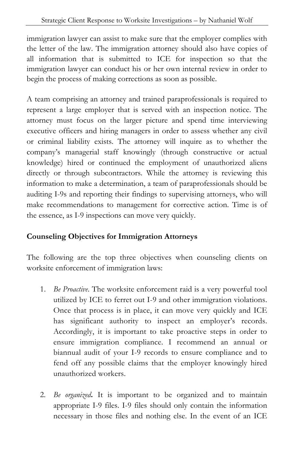immigration lawyer can assist to make sure that the employer complies with the letter of the law. The immigration attorney should also have copies of all information that is submitted to ICE for inspection so that the immigration lawyer can conduct his or her own internal review in order to begin the process of making corrections as soon as possible.

A team comprising an attorney and trained paraprofessionals is required to represent a large employer that is served with an inspection notice. The attorney must focus on the larger picture and spend time interviewing executive officers and hiring managers in order to assess whether any civil or criminal liability exists. The attorney will inquire as to whether the company's managerial staff knowingly (through constructive or actual knowledge) hired or continued the employment of unauthorized aliens directly or through subcontractors. While the attorney is reviewing this information to make a determination, a team of paraprofessionals should be auditing I-9s and reporting their findings to supervising attorneys, who will make recommendations to management for corrective action. Time is of the essence, as I-9 inspections can move very quickly.

#### **Counseling Objectives for Immigration Attorneys**

The following are the top three objectives when counseling clients on worksite enforcement of immigration laws:

- 1. *Be Proactive*. The worksite enforcement raid is a very powerful tool utilized by ICE to ferret out I-9 and other immigration violations. Once that process is in place, it can move very quickly and ICE has significant authority to inspect an employer's records. Accordingly, it is important to take proactive steps in order to ensure immigration compliance. I recommend an annual or biannual audit of your I-9 records to ensure compliance and to fend off any possible claims that the employer knowingly hired unauthorized workers.
- 2. *Be organized***.** It is important to be organized and to maintain appropriate I-9 files. I-9 files should only contain the information necessary in those files and nothing else. In the event of an ICE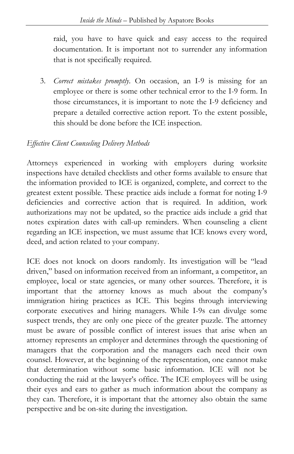raid, you have to have quick and easy access to the required documentation. It is important not to surrender any information that is not specifically required.

3. *Correct mistakes promptly*. On occasion, an I-9 is missing for an employee or there is some other technical error to the I-9 form. In those circumstances, it is important to note the I-9 deficiency and prepare a detailed corrective action report. To the extent possible, this should be done before the ICE inspection.

#### *Effective Client Counseling Delivery Methods*

Attorneys experienced in working with employers during worksite inspections have detailed checklists and other forms available to ensure that the information provided to ICE is organized, complete, and correct to the greatest extent possible. These practice aids include a format for noting I-9 deficiencies and corrective action that is required. In addition, work authorizations may not be updated, so the practice aids include a grid that notes expiration dates with call-up reminders. When counseling a client regarding an ICE inspection, we must assume that ICE knows every word, deed, and action related to your company.

ICE does not knock on doors randomly. Its investigation will be "lead driven," based on information received from an informant, a competitor, an employee, local or state agencies, or many other sources. Therefore, it is important that the attorney knows as much about the company's immigration hiring practices as ICE. This begins through interviewing corporate executives and hiring managers. While I-9s can divulge some suspect trends, they are only one piece of the greater puzzle. The attorney must be aware of possible conflict of interest issues that arise when an attorney represents an employer and determines through the questioning of managers that the corporation and the managers each need their own counsel. However, at the beginning of the representation, one cannot make that determination without some basic information. ICE will not be conducting the raid at the lawyer's office. The ICE employees will be using their eyes and ears to gather as much information about the company as they can. Therefore, it is important that the attorney also obtain the same perspective and be on-site during the investigation.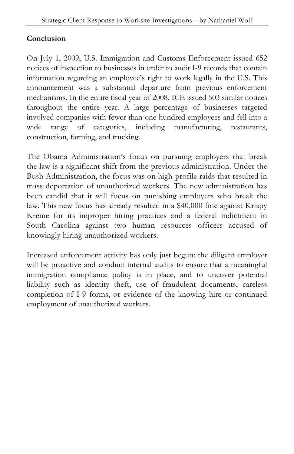#### **Conclusion**

On July 1, 2009, U.S. Immigration and Customs Enforcement issued 652 notices of inspection to businesses in order to audit I-9 records that contain information regarding an employee's right to work legally in the U.S. This announcement was a substantial departure from previous enforcement mechanisms. In the entire fiscal year of 2008, ICE issued 503 similar notices throughout the entire year. A large percentage of businesses targeted involved companies with fewer than one hundred employees and fell into a wide range of categories, including manufacturing, restaurants, construction, farming, and trucking.

The Obama Administration's focus on pursuing employers that break the law is a significant shift from the previous administration. Under the Bush Administration, the focus was on high-profile raids that resulted in mass deportation of unauthorized workers. The new administration has been candid that it will focus on punishing employers who break the law. This new focus has already resulted in a \$40,000 fine against Krispy Kreme for its improper hiring practices and a federal indictment in South Carolina against two human resources officers accused of knowingly hiring unauthorized workers.

Increased enforcement activity has only just begun: the diligent employer will be proactive and conduct internal audits to ensure that a meaningful immigration compliance policy is in place, and to uncover potential liability such as identity theft, use of fraudulent documents, careless completion of I-9 forms, or evidence of the knowing hire or continued employment of unauthorized workers.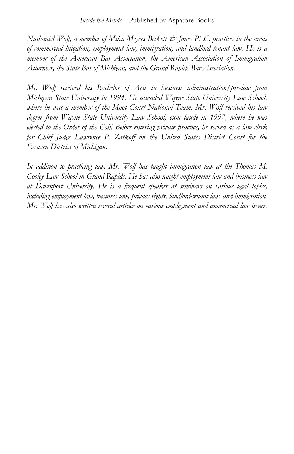*Nathaniel Wolf, a member of Mika Meyers Beckett & Jones PLC, practices in the areas of commercial litigation, employment law, immigration, and landlord tenant law. He is a member of the American Bar Association, the American Association of Immigration Attorneys, the State Bar of Michigan, and the Grand Rapids Bar Association.* 

*Mr. Wolf received his Bachelor of Arts in business administration/pre-law from Michigan State University in 1994. He attended Wayne State University Law School, where he was a member of the Moot Court National Team. Mr. Wolf received his law degree from Wayne State University Law School, cum laude in 1997, where he was elected to the Order of the Coif. Before entering private practice, he served as a law clerk for Chief Judge Lawrence P. Zatkoff on the United States District Court for the Eastern District of Michigan.* 

In addition to practicing law, Mr. Wolf has taught immigration law at the Thomas M. *Cooley Law School in Grand Rapids. He has also taught employment law and business law at Davenport University. He is a frequent speaker at seminars on various legal topics, including employment law, business law, privacy rights, landlord-tenant law, and immigration. Mr. Wolf has also written several articles on various employment and commercial law issues.*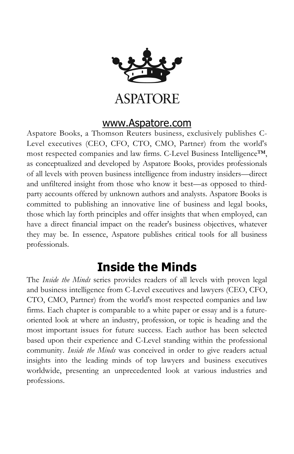

### **ASPATORE**

#### [www.Aspatore.com](http://www.insidetheminds.com/)

Aspatore Books, a Thomson Reuters business, exclusively publishes C-Level executives (CEO, CFO, CTO, CMO, Partner) from the world's most respected companies and law firms. C-Level Business Intelligence™, as conceptualized and developed by Aspatore Books, provides professionals of all levels with proven business intelligence from industry insiders—direct and unfiltered insight from those who know it best—as opposed to thirdparty accounts offered by unknown authors and analysts. Aspatore Books is committed to publishing an innovative line of business and legal books, those which lay forth principles and offer insights that when employed, can have a direct financial impact on the reader's business objectives, whatever they may be. In essence, Aspatore publishes critical tools for all business professionals.

## **Inside the Minds**

The *Inside the Minds* series provides readers of all levels with proven legal and business intelligence from C-Level executives and lawyers (CEO, CFO, CTO, CMO, Partner) from the world's most respected companies and law firms. Each chapter is comparable to a white paper or essay and is a futureoriented look at where an industry, profession, or topic is heading and the most important issues for future success. Each author has been selected based upon their experience and C-Level standing within the professional community. *Inside the Minds* was conceived in order to give readers actual insights into the leading minds of top lawyers and business executives worldwide, presenting an unprecedented look at various industries and professions.